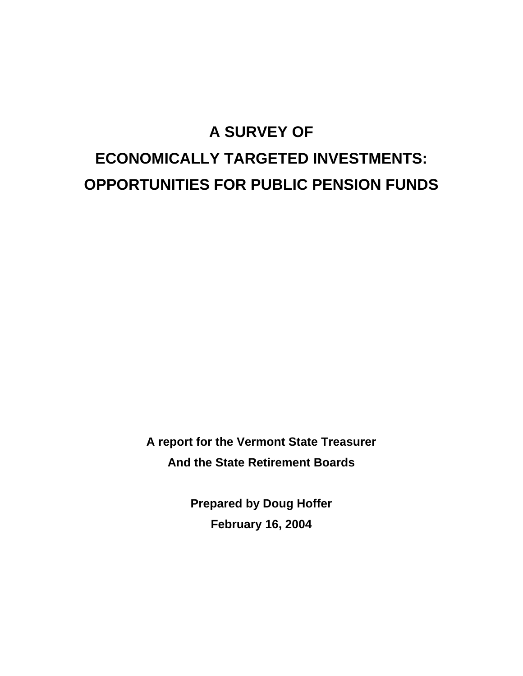# **A SURVEY OF ECONOMICALLY TARGETED INVESTMENTS: OPPORTUNITIES FOR PUBLIC PENSION FUNDS**

**A report for the Vermont State Treasurer And the State Retirement Boards** 

> **Prepared by Doug Hoffer February 16, 2004**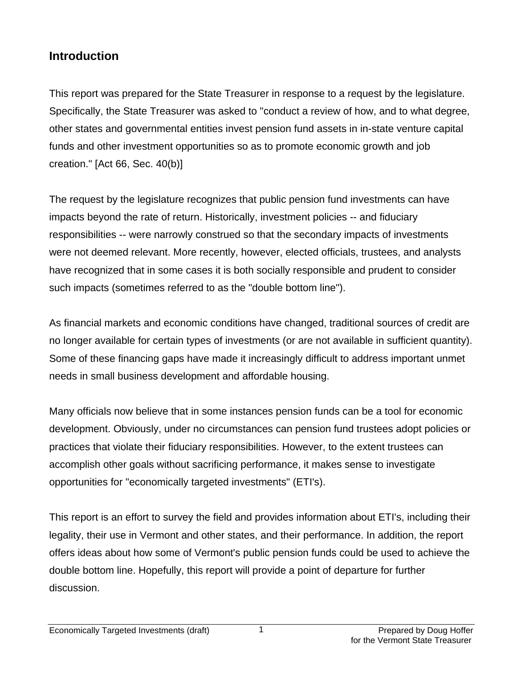### **Introduction**

This report was prepared for the State Treasurer in response to a request by the legislature. Specifically, the State Treasurer was asked to "conduct a review of how, and to what degree, other states and governmental entities invest pension fund assets in in-state venture capital funds and other investment opportunities so as to promote economic growth and job creation." [Act 66, Sec. 40(b)]

The request by the legislature recognizes that public pension fund investments can have impacts beyond the rate of return. Historically, investment policies -- and fiduciary responsibilities -- were narrowly construed so that the secondary impacts of investments were not deemed relevant. More recently, however, elected officials, trustees, and analysts have recognized that in some cases it is both socially responsible and prudent to consider such impacts (sometimes referred to as the "double bottom line").

As financial markets and economic conditions have changed, traditional sources of credit are no longer available for certain types of investments (or are not available in sufficient quantity). Some of these financing gaps have made it increasingly difficult to address important unmet needs in small business development and affordable housing.

Many officials now believe that in some instances pension funds can be a tool for economic development. Obviously, under no circumstances can pension fund trustees adopt policies or practices that violate their fiduciary responsibilities. However, to the extent trustees can accomplish other goals without sacrificing performance, it makes sense to investigate opportunities for "economically targeted investments" (ETI's).

This report is an effort to survey the field and provides information about ETI's, including their legality, their use in Vermont and other states, and their performance. In addition, the report offers ideas about how some of Vermont's public pension funds could be used to achieve the double bottom line. Hopefully, this report will provide a point of departure for further discussion.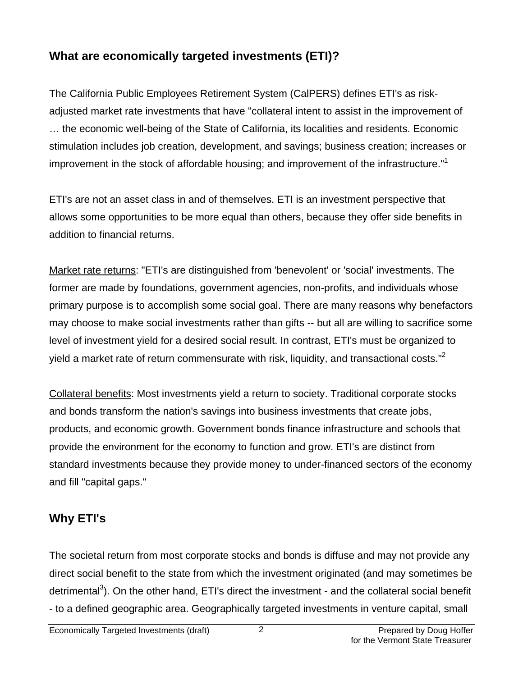# **What are economically targeted investments (ETI)?**

The California Public Employees Retirement System (CalPERS) defines ETI's as riskadjusted market rate investments that have "collateral intent to assist in the improvement of … the economic well-being of the State of California, its localities and residents. Economic stimulation includes job creation, development, and savings; business creation; increases or improvement in the stock of affordable housing; and improvement of the infrastructure."<sup>[1](#page-16-0)</sup>

ETI's are not an asset class in and of themselves. ETI is an investment perspective that allows some opportunities to be more equal than others, because they offer side benefits in addition to financial returns.

Market rate returns: "ETI's are distinguished from 'benevolent' or 'social' investments. The former are made by foundations, government agencies, non-profits, and individuals whose primary purpose is to accomplish some social goal. There are many reasons why benefactors may choose to make social investments rather than gifts -- but all are willing to sacrifice some level of investment yield for a desired social result. In contrast, ETI's must be organized to yield a market rate of return commensurate with risk, liquidity, and transactional costs. $12$  $12$ 

Collateral benefits: Most investments yield a return to society. Traditional corporate stocks and bonds transform the nation's savings into business investments that create jobs, products, and economic growth. Government bonds finance infrastructure and schools that provide the environment for the economy to function and grow. ETI's are distinct from standard investments because they provide money to under-financed sectors of the economy and fill "capital gaps."

# **Why ETI's**

The societal return from most corporate stocks and bonds is diffuse and may not provide any direct social benefit to the state from which the investment originated (and may sometimes be detrimental<sup>[3](#page-16-2)</sup>). On the other hand, ETI's direct the investment - and the collateral social benefit - to a defined geographic area. Geographically targeted investments in venture capital, small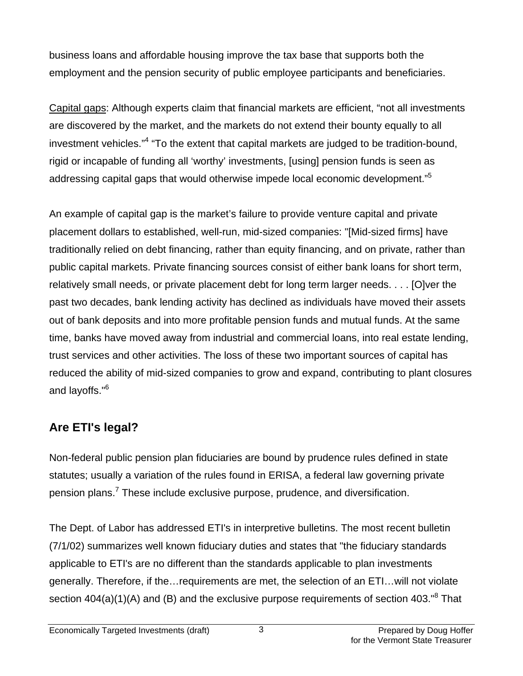business loans and affordable housing improve the tax base that supports both the employment and the pension security of public employee participants and beneficiaries.

Capital gaps: Although experts claim that financial markets are efficient, "not all investments are discovered by the market, and the markets do not extend their bounty equally to all investment vehicles."<sup>[4](#page-16-3)</sup> "To the extent that capital markets are judged to be tradition-bound, rigid or incapable of funding all 'worthy' investments, [using] pension funds is seen as addressing capital gaps that would otherwise impede local economic development."<sup>[5](#page-16-4)</sup>

An example of capital gap is the market's failure to provide venture capital and private placement dollars to established, well-run, mid-sized companies: "[Mid-sized firms] have traditionally relied on debt financing, rather than equity financing, and on private, rather than public capital markets. Private financing sources consist of either bank loans for short term, relatively small needs, or private placement debt for long term larger needs. . . . [O]ver the past two decades, bank lending activity has declined as individuals have moved their assets out of bank deposits and into more profitable pension funds and mutual funds. At the same time, banks have moved away from industrial and commercial loans, into real estate lending, trust services and other activities. The loss of these two important sources of capital has reduced the ability of mid-sized companies to grow and expand, contributing to plant closures and layoffs."<sup>[6](#page-16-5)</sup>

# **Are ETI's legal?**

Non-federal public pension plan fiduciaries are bound by prudence rules defined in state statutes; usually a variation of the rules found in ERISA, a federal law governing private pension plans.<sup>[7](#page-16-6)</sup> These include exclusive purpose, prudence, and diversification.

The Dept. of Labor has addressed ETI's in interpretive bulletins. The most recent bulletin (7/1/02) summarizes well known fiduciary duties and states that "the fiduciary standards applicable to ETI's are no different than the standards applicable to plan investments generally. Therefore, if the…requirements are met, the selection of an ETI…will not violate section  $404(a)(1)(A)$  and (B) and the exclusive purpose requirements of section  $403.^{^{8}}$  $403.^{^{8}}$  $403.^{^{8}}$  That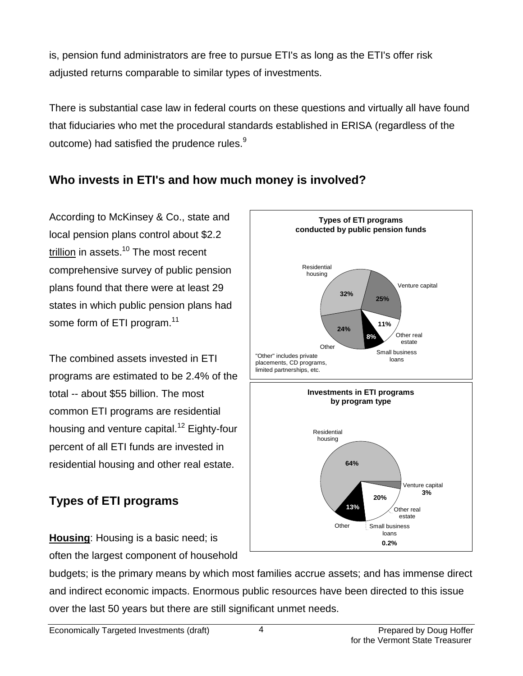is, pension fund administrators are free to pursue ETI's as long as the ETI's offer risk adjusted returns comparable to similar types of investments.

There is substantial case law in federal courts on these questions and virtually all have found that fiduciaries who met the procedural standards established in ERISA (regardless of the outcome) had satisfied the prudence rules.<sup>[9](#page-16-8)</sup>

### **Who invests in ETI's and how much money is involved?**

According to McKinsey & Co., state and local pension plans control about \$2.2 trillion in assets. $10$  The most recent comprehensive survey of public pension plans found that there were at least 29 states in which public pension plans had some form of ETI program.<sup>11</sup>

The combined assets invested in ETI programs are estimated to be 2.4% of the total -- about \$55 billion. The most common ETI programs are residential housing and venture capital.<sup>12</sup> Eighty-four percent of all ETI funds are invested in residential housing and other real estate.

# **Types of ETI programs**

**Housing**: Housing is a basic need; is often the largest component of household



budgets; is the primary means by which most families accrue assets; and has immense direct and indirect economic impacts. Enormous public resources have been directed to this issue over the last 50 years but there are still significant unmet needs.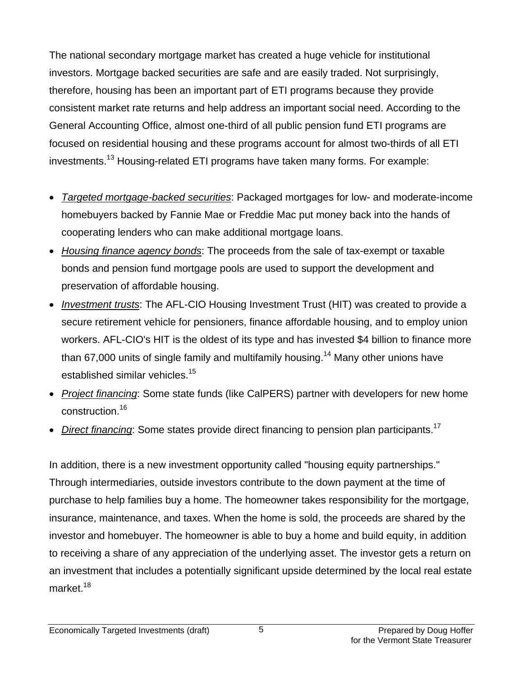The national secondary mortgage market has created a huge vehicle for institutional investors. Mortgage backed securities are safe and are easily traded. Not surprisingly, therefore, housing has been an important part of ETI programs because they provide consistent market rate returns and help address an important social need. According to the General Accounting Office, almost one-third of all public pension fund ETI programs are focused on residential housing and these programs account for almost two-thirds of all ETI investments.<sup>13</sup> Housing-related ETI programs have taken many forms. For example:

- *Targeted mortgage-backed securities*: Packaged mortgages for low- and moderate-income homebuyers backed by Fannie Mae or Freddie Mac put money back into the hands of cooperating lenders who can make additional mortgage loans.
- *Housing finance agency bonds*: The proceeds from the sale of tax-exempt or taxable bonds and pension fund mortgage pools are used to support the development and preservation of affordable housing.
- *Investment trusts*: The AFL-CIO Housing Investment Trust (HIT) was created to provide a secure retirement vehicle for pensioners, finance affordable housing, and to employ union workers. AFL-CIO's HIT is the oldest of its type and has invested \$4 billion to finance more than 67,000 units of single family and multifamily housing.<sup>14</sup> Many other unions have established similar vehicles.<sup>[15](#page-16-14)</sup>
- *Project financing*: Some state funds (like CalPERS) partner with developers for new home construction.[16](#page-16-15)
- *Direct financing*: Some states provide direct financing to pension plan participants.<sup>[17](#page-16-16)</sup>

In addition, there is a new investment opportunity called "housing equity partnerships." Through intermediaries, outside investors contribute to the down payment at the time of purchase to help families buy a home. The homeowner takes responsibility for the mortgage, insurance, maintenance, and taxes. When the home is sold, the proceeds are shared by the investor and homebuyer. The homeowner is able to buy a home and build equity, in addition to receiving a share of any appreciation of the underlying asset. The investor gets a return on an investment that includes a potentially significant upside determined by the local real estate market.<sup>[18](#page-16-17)</sup>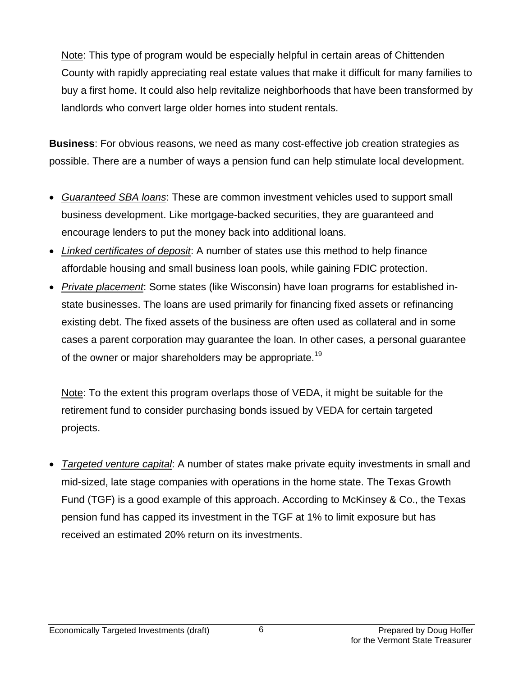Note: This type of program would be especially helpful in certain areas of Chittenden County with rapidly appreciating real estate values that make it difficult for many families to buy a first home. It could also help revitalize neighborhoods that have been transformed by landlords who convert large older homes into student rentals.

**Business**: For obvious reasons, we need as many cost-effective job creation strategies as possible. There are a number of ways a pension fund can help stimulate local development.

- *Guaranteed SBA loans*: These are common investment vehicles used to support small business development. Like mortgage-backed securities, they are guaranteed and encourage lenders to put the money back into additional loans.
- *Linked certificates of deposit*: A number of states use this method to help finance affordable housing and small business loan pools, while gaining FDIC protection.
- *Private placement*: Some states (like Wisconsin) have loan programs for established instate businesses. The loans are used primarily for financing fixed assets or refinancing existing debt. The fixed assets of the business are often used as collateral and in some cases a parent corporation may guarantee the loan. In other cases, a personal guarantee of the owner or major shareholders may be appropriate.<sup>19</sup>

Note: To the extent this program overlaps those of VEDA, it might be suitable for the retirement fund to consider purchasing bonds issued by VEDA for certain targeted projects.

• *Targeted venture capital*: A number of states make private equity investments in small and mid-sized, late stage companies with operations in the home state. The Texas Growth Fund (TGF) is a good example of this approach. According to McKinsey & Co., the Texas pension fund has capped its investment in the TGF at 1% to limit exposure but has received an estimated 20% return on its investments.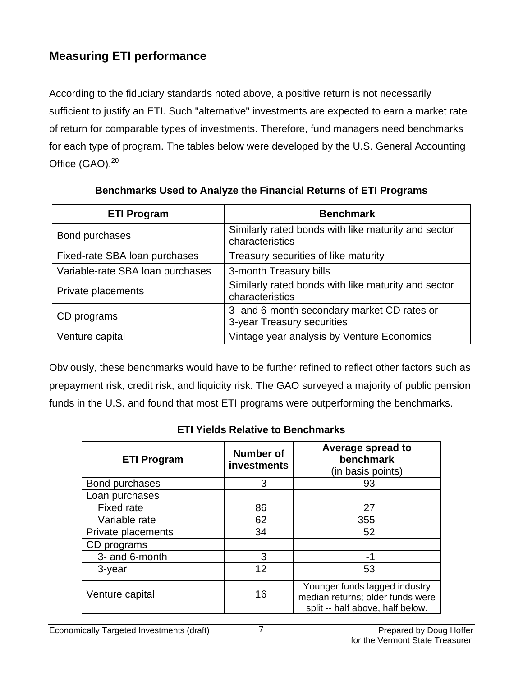# **Measuring ETI performance**

According to the fiduciary standards noted above, a positive return is not necessarily sufficient to justify an ETI. Such "alternative" investments are expected to earn a market rate of return for comparable types of investments. Therefore, fund managers need benchmarks for each type of program. The tables below were developed by the U.S. General Accounting Office  $(GAO)$ . $^{20}$  $^{20}$  $^{20}$ 

| <b>ETI Program</b>               | <b>Benchmark</b>                                                          |  |
|----------------------------------|---------------------------------------------------------------------------|--|
| Bond purchases                   | Similarly rated bonds with like maturity and sector<br>characteristics    |  |
| Fixed-rate SBA loan purchases    | Treasury securities of like maturity                                      |  |
| Variable-rate SBA loan purchases | 3-month Treasury bills                                                    |  |
| Private placements               | Similarly rated bonds with like maturity and sector<br>characteristics    |  |
| CD programs                      | 3- and 6-month secondary market CD rates or<br>3-year Treasury securities |  |
| Venture capital                  | Vintage year analysis by Venture Economics                                |  |

**Benchmarks Used to Analyze the Financial Returns of ETI Programs** 

Obviously, these benchmarks would have to be further refined to reflect other factors such as prepayment risk, credit risk, and liquidity risk. The GAO surveyed a majority of public pension funds in the U.S. and found that most ETI programs were outperforming the benchmarks.

| <b>ETI Program</b> | Number of<br>investments | Average spread to<br>benchmark<br>(in basis points)                                                   |
|--------------------|--------------------------|-------------------------------------------------------------------------------------------------------|
| Bond purchases     | 3                        | 93                                                                                                    |
| Loan purchases     |                          |                                                                                                       |
| <b>Fixed rate</b>  | 86                       | 27                                                                                                    |
| Variable rate      | 62                       | 355                                                                                                   |
| Private placements | 34                       | 52                                                                                                    |
| CD programs        |                          |                                                                                                       |
| 3- and 6-month     | 3                        | -1                                                                                                    |
| 3-year             | 12                       | 53                                                                                                    |
| Venture capital    | 16                       | Younger funds lagged industry<br>median returns; older funds were<br>split -- half above, half below. |

#### **ETI Yields Relative to Benchmarks**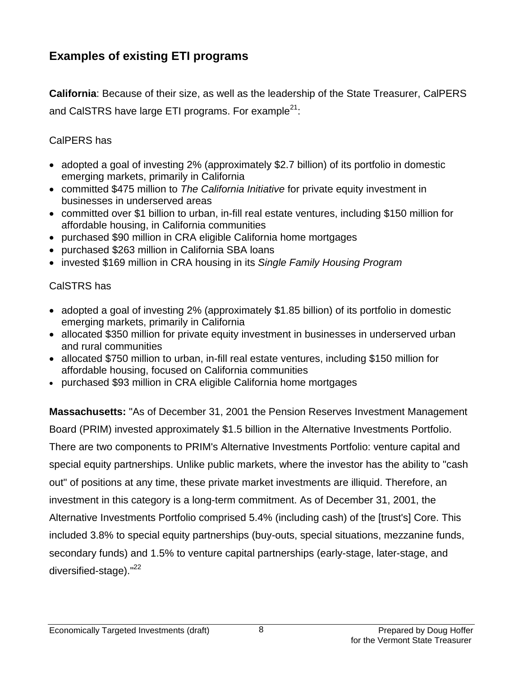### **Examples of existing ETI programs**

**California**: Because of their size, as well as the leadership of the State Treasurer, CalPERS and CalSTRS have large ETI programs. For example $^{21}$ :

#### CalPERS has

- adopted a goal of investing 2% (approximately \$2.7 billion) of its portfolio in domestic emerging markets, primarily in California
- committed \$475 million to *The California Initiative* for private equity investment in businesses in underserved areas
- committed over \$1 billion to urban, in-fill real estate ventures, including \$150 million for affordable housing, in California communities
- purchased \$90 million in CRA eligible California home mortgages
- purchased \$263 million in California SBA loans
- invested \$169 million in CRA housing in its *Single Family Housing Program*

#### CalSTRS has

- adopted a goal of investing 2% (approximately \$1.85 billion) of its portfolio in domestic emerging markets, primarily in California
- allocated \$350 million for private equity investment in businesses in underserved urban and rural communities
- allocated \$750 million to urban, in-fill real estate ventures, including \$150 million for affordable housing, focused on California communities
- purchased \$93 million in CRA eligible California home mortgages

**Massachusetts:** "As of December 31, 2001 the Pension Reserves Investment Management Board (PRIM) invested approximately \$1.5 billion in the Alternative Investments Portfolio. There are two components to PRIM's Alternative Investments Portfolio: venture capital and special equity partnerships. Unlike public markets, where the investor has the ability to "cash out" of positions at any time, these private market investments are illiquid. Therefore, an investment in this category is a long-term commitment. As of December 31, 2001, the Alternative Investments Portfolio comprised 5.4% (including cash) of the [trust's] Core. This included 3.8% to special equity partnerships (buy-outs, special situations, mezzanine funds, secondary funds) and 1.5% to venture capital partnerships (early-stage, later-stage, and diversified-stage)."<sup>[22](#page-16-21)</sup>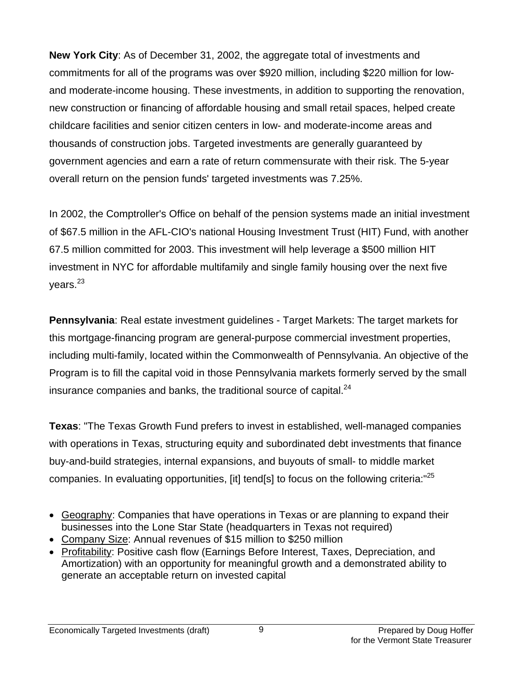**New York City**: As of December 31, 2002, the aggregate total of investments and commitments for all of the programs was over \$920 million, including \$220 million for lowand moderate-income housing. These investments, in addition to supporting the renovation, new construction or financing of affordable housing and small retail spaces, helped create childcare facilities and senior citizen centers in low- and moderate-income areas and thousands of construction jobs. Targeted investments are generally guaranteed by government agencies and earn a rate of return commensurate with their risk. The 5-year overall return on the pension funds' targeted investments was 7.25%.

In 2002, the Comptroller's Office on behalf of the pension systems made an initial investment of \$67.5 million in the AFL-CIO's national Housing Investment Trust (HIT) Fund, with another 67.5 million committed for 2003. This investment will help leverage a \$500 million HIT investment in NYC for affordable multifamily and single family housing over the next five vears. $23$ 

**Pennsylvania**: Real estate investment guidelines - Target Markets: The target markets for this mortgage-financing program are general-purpose commercial investment properties, including multi-family, located within the Commonwealth of Pennsylvania. An objective of the Program is to fill the capital void in those Pennsylvania markets formerly served by the small insurance companies and banks, the traditional source of capital. $^{24}$  $^{24}$  $^{24}$ 

**Texas**: "The Texas Growth Fund prefers to invest in established, well-managed companies with operations in Texas, structuring equity and subordinated debt investments that finance buy-and-build strategies, internal expansions, and buyouts of small- to middle market companies. In evaluating opportunities, [it] tend[s] to focus on the following criteria:<sup>"[25](#page-16-24)</sup>

- Geography: Companies that have operations in Texas or are planning to expand their businesses into the Lone Star State (headquarters in Texas not required)
- Company Size: Annual revenues of \$15 million to \$250 million
- Profitability: Positive cash flow (Earnings Before Interest, Taxes, Depreciation, and Amortization) with an opportunity for meaningful growth and a demonstrated ability to generate an acceptable return on invested capital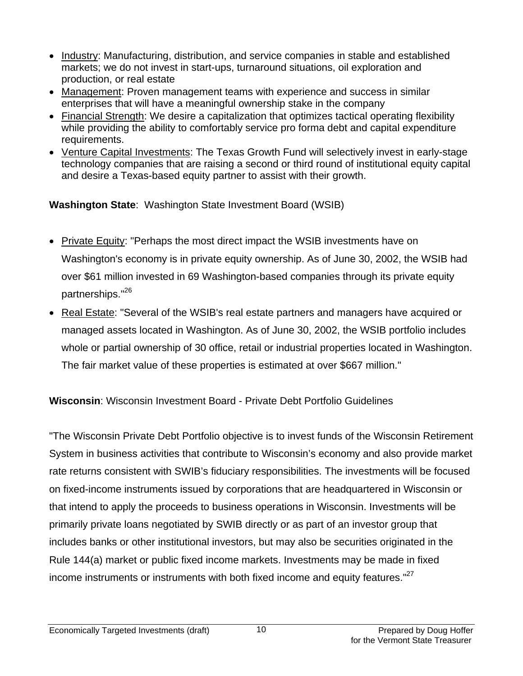- Industry: Manufacturing, distribution, and service companies in stable and established markets; we do not invest in start-ups, turnaround situations, oil exploration and production, or real estate
- Management: Proven management teams with experience and success in similar enterprises that will have a meaningful ownership stake in the company
- Financial Strength: We desire a capitalization that optimizes tactical operating flexibility while providing the ability to comfortably service pro forma debt and capital expenditure requirements.
- Venture Capital Investments: The Texas Growth Fund will selectively invest in early-stage technology companies that are raising a second or third round of institutional equity capital and desire a Texas-based equity partner to assist with their growth.

**Washington State**: Washington State Investment Board (WSIB)

- Private Equity: "Perhaps the most direct impact the WSIB investments have on Washington's economy is in private equity ownership. As of June 30, 2002, the WSIB had over \$61 million invested in 69 Washington-based companies through its private equity partnerships."<sup>[26](#page-16-25)</sup>
- Real Estate: "Several of the WSIB's real estate partners and managers have acquired or managed assets located in Washington. As of June 30, 2002, the WSIB portfolio includes whole or partial ownership of 30 office, retail or industrial properties located in Washington. The fair market value of these properties is estimated at over \$667 million."

**Wisconsin**: Wisconsin Investment Board - Private Debt Portfolio Guidelines

"The Wisconsin Private Debt Portfolio objective is to invest funds of the Wisconsin Retirement System in business activities that contribute to Wisconsin's economy and also provide market rate returns consistent with SWIB's fiduciary responsibilities. The investments will be focused on fixed-income instruments issued by corporations that are headquartered in Wisconsin or that intend to apply the proceeds to business operations in Wisconsin. Investments will be primarily private loans negotiated by SWIB directly or as part of an investor group that includes banks or other institutional investors, but may also be securities originated in the Rule 144(a) market or public fixed income markets. Investments may be made in fixed income instruments or instruments with both fixed income and equity features."<sup>27</sup>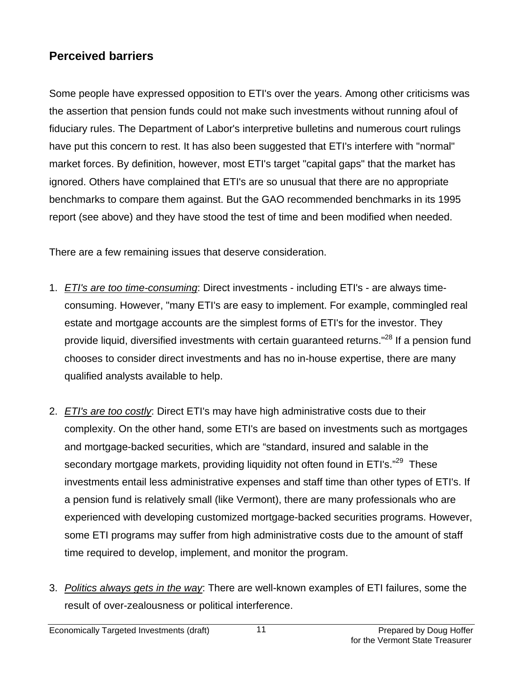### **Perceived barriers**

Some people have expressed opposition to ETI's over the years. Among other criticisms was the assertion that pension funds could not make such investments without running afoul of fiduciary rules. The Department of Labor's interpretive bulletins and numerous court rulings have put this concern to rest. It has also been suggested that ETI's interfere with "normal" market forces. By definition, however, most ETI's target "capital gaps" that the market has ignored. Others have complained that ETI's are so unusual that there are no appropriate benchmarks to compare them against. But the GAO recommended benchmarks in its 1995 report (see above) and they have stood the test of time and been modified when needed.

There are a few remaining issues that deserve consideration.

- 1. *ETI's are too time-consuming*: Direct investments including ETI's are always timeconsuming. However, "many ETI's are easy to implement. For example, commingled real estate and mortgage accounts are the simplest forms of ETI's for the investor. They provide liquid, diversified investments with certain guaranteed returns."<sup>28</sup> If a pension fund chooses to consider direct investments and has no in-house expertise, there are many qualified analysts available to help.
- 2. *ETI's are too costly*: Direct ETI's may have high administrative costs due to their complexity. On the other hand, some ETI's are based on investments such as mortgages and mortgage-backed securities, which are "standard, insured and salable in the secondary mortgage markets, providing liquidity not often found in ETI's."<sup>29</sup> These investments entail less administrative expenses and staff time than other types of ETI's. If a pension fund is relatively small (like Vermont), there are many professionals who are experienced with developing customized mortgage-backed securities programs. However, some ETI programs may suffer from high administrative costs due to the amount of staff time required to develop, implement, and monitor the program.
- 3. *Politics always gets in the way*: There are well-known examples of ETI failures, some the result of over-zealousness or political interference.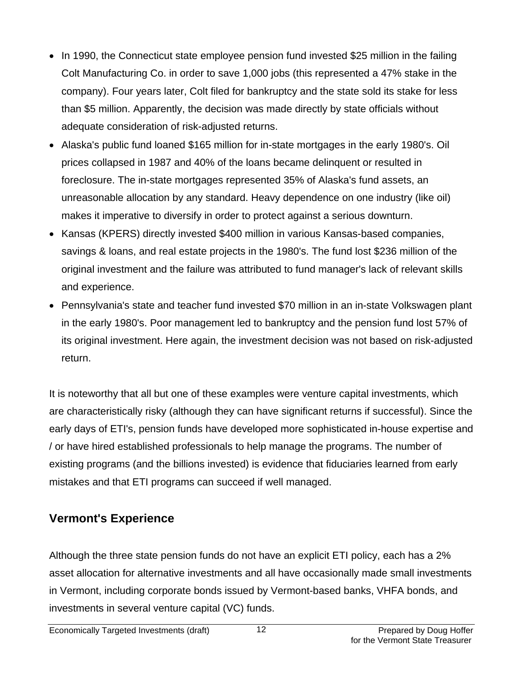- In 1990, the Connecticut state employee pension fund invested \$25 million in the failing Colt Manufacturing Co. in order to save 1,000 jobs (this represented a 47% stake in the company). Four years later, Colt filed for bankruptcy and the state sold its stake for less than \$5 million. Apparently, the decision was made directly by state officials without adequate consideration of risk-adjusted returns.
- Alaska's public fund loaned \$165 million for in-state mortgages in the early 1980's. Oil prices collapsed in 1987 and 40% of the loans became delinquent or resulted in foreclosure. The in-state mortgages represented 35% of Alaska's fund assets, an unreasonable allocation by any standard. Heavy dependence on one industry (like oil) makes it imperative to diversify in order to protect against a serious downturn.
- Kansas (KPERS) directly invested \$400 million in various Kansas-based companies, savings & loans, and real estate projects in the 1980's. The fund lost \$236 million of the original investment and the failure was attributed to fund manager's lack of relevant skills and experience.
- Pennsylvania's state and teacher fund invested \$70 million in an in-state Volkswagen plant in the early 1980's. Poor management led to bankruptcy and the pension fund lost 57% of its original investment. Here again, the investment decision was not based on risk-adjusted return.

It is noteworthy that all but one of these examples were venture capital investments, which are characteristically risky (although they can have significant returns if successful). Since the early days of ETI's, pension funds have developed more sophisticated in-house expertise and / or have hired established professionals to help manage the programs. The number of existing programs (and the billions invested) is evidence that fiduciaries learned from early mistakes and that ETI programs can succeed if well managed.

# **Vermont's Experience**

Although the three state pension funds do not have an explicit ETI policy, each has a 2% asset allocation for alternative investments and all have occasionally made small investments in Vermont, including corporate bonds issued by Vermont-based banks, VHFA bonds, and investments in several venture capital (VC) funds.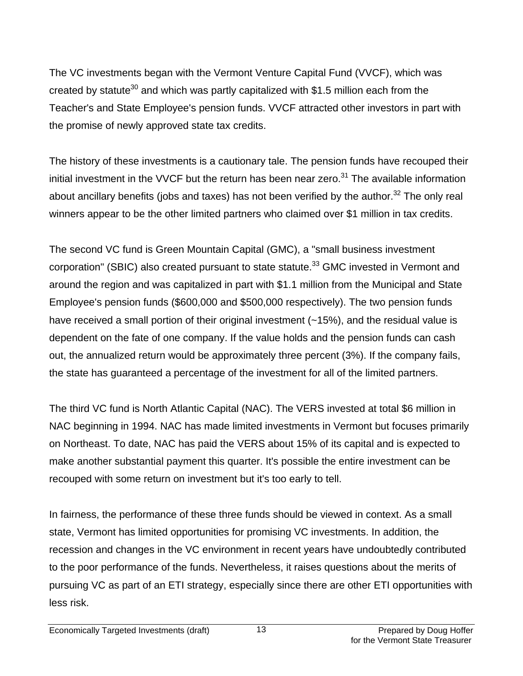The VC investments began with the Vermont Venture Capital Fund (VVCF), which was created by statute<sup>30</sup> and which was partly capitalized with \$1.5 million each from the Teacher's and State Employee's pension funds. VVCF attracted other investors in part with the promise of newly approved state tax credits.

The history of these investments is a cautionary tale. The pension funds have recouped their initial investment in the VVCF but the return has been near zero. $31$  The available information about ancillary benefits (jobs and taxes) has not been verified by the author.<sup>32</sup> The only real winners appear to be the other limited partners who claimed over \$1 million in tax credits.

The second VC fund is Green Mountain Capital (GMC), a "small business investment corporation" (SBIC) also created pursuant to state statute.<sup>33</sup> GMC invested in Vermont and around the region and was capitalized in part with \$1.1 million from the Municipal and State Employee's pension funds (\$600,000 and \$500,000 respectively). The two pension funds have received a small portion of their original investment (~15%), and the residual value is dependent on the fate of one company. If the value holds and the pension funds can cash out, the annualized return would be approximately three percent (3%). If the company fails, the state has guaranteed a percentage of the investment for all of the limited partners.

The third VC fund is North Atlantic Capital (NAC). The VERS invested at total \$6 million in NAC beginning in 1994. NAC has made limited investments in Vermont but focuses primarily on Northeast. To date, NAC has paid the VERS about 15% of its capital and is expected to make another substantial payment this quarter. It's possible the entire investment can be recouped with some return on investment but it's too early to tell.

In fairness, the performance of these three funds should be viewed in context. As a small state, Vermont has limited opportunities for promising VC investments. In addition, the recession and changes in the VC environment in recent years have undoubtedly contributed to the poor performance of the funds. Nevertheless, it raises questions about the merits of pursuing VC as part of an ETI strategy, especially since there are other ETI opportunities with less risk.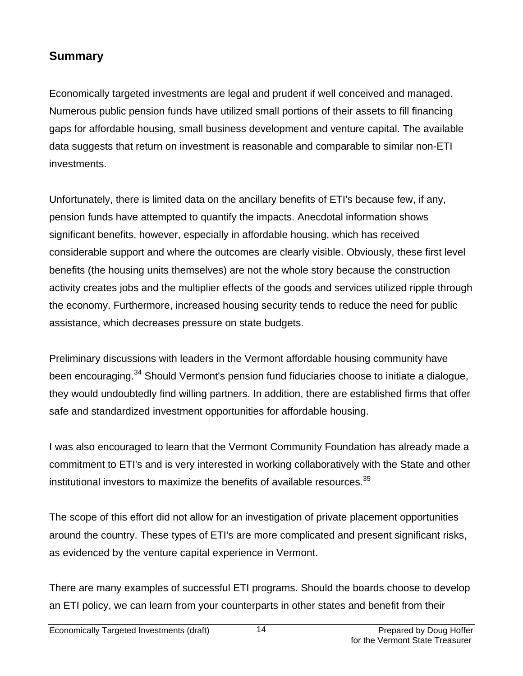### **Summary**

Economically targeted investments are legal and prudent if well conceived and managed. Numerous public pension funds have utilized small portions of their assets to fill financing gaps for affordable housing, small business development and venture capital. The available data suggests that return on investment is reasonable and comparable to similar non-ETI investments.

Unfortunately, there is limited data on the ancillary benefits of ETI's because few, if any, pension funds have attempted to quantify the impacts. Anecdotal information shows significant benefits, however, especially in affordable housing, which has received considerable support and where the outcomes are clearly visible. Obviously, these first level benefits (the housing units themselves) are not the whole story because the construction activity creates jobs and the multiplier effects of the goods and services utilized ripple through the economy. Furthermore, increased housing security tends to reduce the need for public assistance, which decreases pressure on state budgets.

Preliminary discussions with leaders in the Vermont affordable housing community have been encouraging.<sup>34</sup> Should Vermont's pension fund fiduciaries choose to initiate a dialogue, they would undoubtedly find willing partners. In addition, there are established firms that offer safe and standardized investment opportunities for affordable housing.

I was also encouraged to learn that the Vermont Community Foundation has already made a commitment to ETI's and is very interested in working collaboratively with the State and other institutional investors to maximize the benefits of available resources.<sup>35</sup>

The scope of this effort did not allow for an investigation of private placement opportunities around the country. These types of ETI's are more complicated and present significant risks, as evidenced by the venture capital experience in Vermont.

There are many examples of successful ETI programs. Should the boards choose to develop an ETI policy, we can learn from your counterparts in other states and benefit from their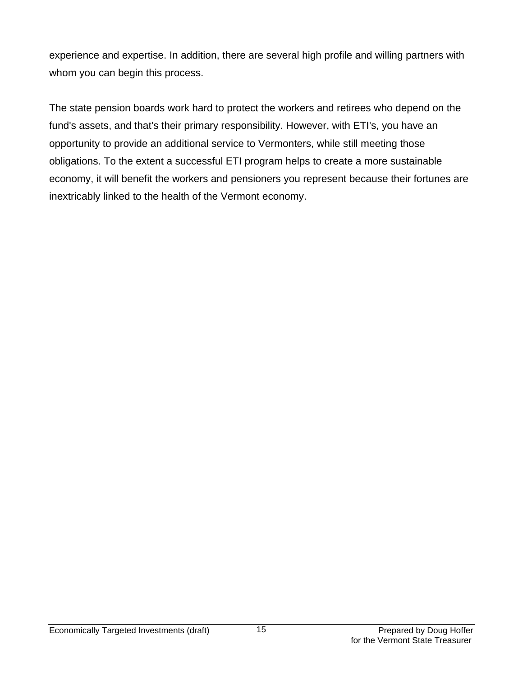experience and expertise. In addition, there are several high profile and willing partners with whom you can begin this process.

The state pension boards work hard to protect the workers and retirees who depend on the fund's assets, and that's their primary responsibility. However, with ETI's, you have an opportunity to provide an additional service to Vermonters, while still meeting those obligations. To the extent a successful ETI program helps to create a more sustainable economy, it will benefit the workers and pensioners you represent because their fortunes are inextricably linked to the health of the Vermont economy.